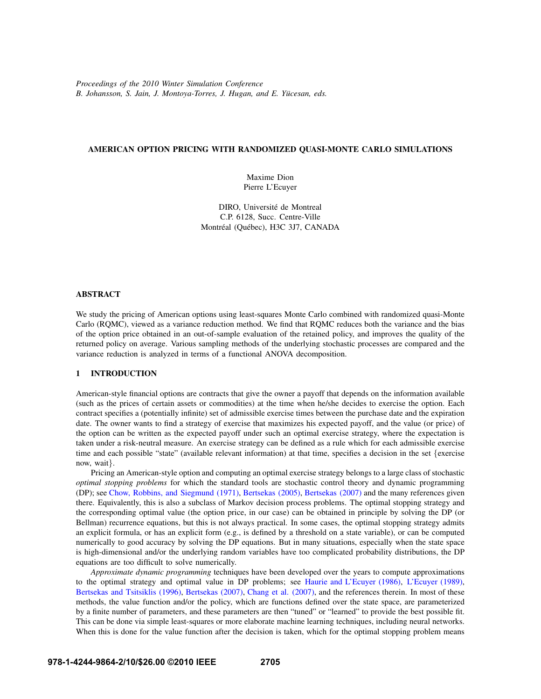## AMERICAN OPTION PRICING WITH RANDOMIZED QUASI-MONTE CARLO SIMULATIONS

# Maxime Dion Pierre L'Ecuyer

DIRO, Université de Montreal C.P. 6128, Succ. Centre-Ville Montréal (Québec), H3C 3J7, CANADA

## **ABSTRACT**

We study the pricing of American options using least-squares Monte Carlo combined with randomized quasi-Monte Carlo (RQMC), viewed as a variance reduction method. We find that RQMC reduces both the variance and the bias of the option price obtained in an out-of-sample evaluation of the retained policy, and improves the quality of the returned policy on average. Various sampling methods of the underlying stochastic processes are compared and the variance reduction is analyzed in terms of a functional ANOVA decomposition.

# 1 INTRODUCTION

American-style financial options are contracts that give the owner a payoff that depends on the information available (such as the prices of certain assets or commodities) at the time when he/she decides to exercise the option. Each contract specifies a (potentially infinite) set of admissible exercise times between the purchase date and the expiration date. The owner wants to find a strategy of exercise that maximizes his expected payoff, and the value (or price) of the option can be written as the expected payoff under such an optimal exercise strategy, where the expectation is taken under a risk-neutral measure. An exercise strategy can be defined as a rule which for each admissible exercise time and each possible "state" (available relevant information) at that time, specifies a decision in the set {exercise now, wait}.

Pricing an American-style option and computing an optimal exercise strategy belongs to a large class of stochastic *optimal stopping problems* for which the standard tools are stochastic control theory and dynamic programming (DP); see Chow, Robbins, and Siegmund (1971), Bertsekas (2005), Bertsekas (2007) and the many references given there. Equivalently, this is also a subclass of Markov decision process problems. The optimal stopping strategy and the corresponding optimal value (the option price, in our case) can be obtained in principle by solving the DP (or Bellman) recurrence equations, but this is not always practical. In some cases, the optimal stopping strategy admits an explicit formula, or has an explicit form (e.g., is defined by a threshold on a state variable), or can be computed numerically to good accuracy by solving the DP equations. But in many situations, especially when the state space is high-dimensional and/or the underlying random variables have too complicated probability distributions, the DP equations are too difficult to solve numerically.

*Approximate dynamic programming* techniques have been developed over the years to compute approximations to the optimal strategy and optimal value in DP problems; see Haurie and L'Ecuyer (1986), L'Ecuyer (1989), Bertsekas and Tsitsiklis (1996), Bertsekas (2007), Chang et al. (2007), and the references therein. In most of these methods, the value function and/or the policy, which are functions defined over the state space, are parameterized by a finite number of parameters, and these parameters are then "tuned" or "learned" to provide the best possible fit. This can be done via simple least-squares or more elaborate machine learning techniques, including neural networks. When this is done for the value function after the decision is taken, which for the optimal stopping problem means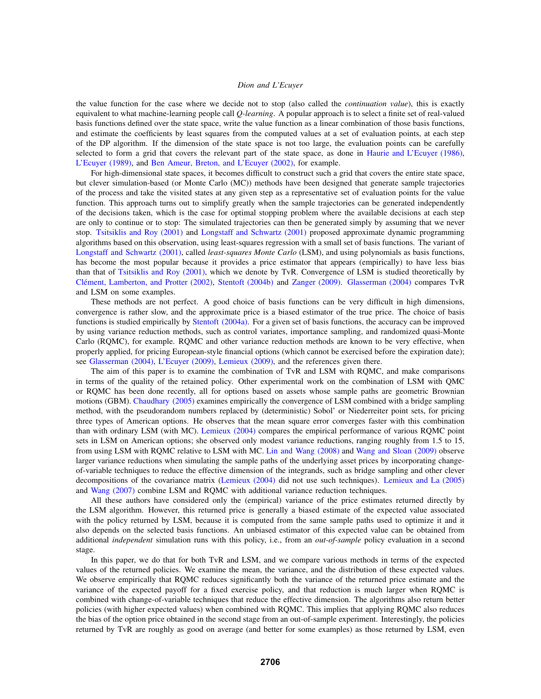the value function for the case where we decide not to stop (also called the *continuation value*), this is exactly equivalent to what machine-learning people call *Q-learning*. A popular approach is to select a finite set of real-valued basis functions defined over the state space, write the value function as a linear combination of those basis functions, and estimate the coefficients by least squares from the computed values at a set of evaluation points, at each step of the DP algorithm. If the dimension of the state space is not too large, the evaluation points can be carefully selected to form a grid that covers the relevant part of the state space, as done in Haurie and L'Ecuyer (1986), L'Ecuyer (1989), and Ben Ameur, Breton, and L'Ecuyer (2002), for example.

For high-dimensional state spaces, it becomes difficult to construct such a grid that covers the entire state space, but clever simulation-based (or Monte Carlo (MC)) methods have been designed that generate sample trajectories of the process and take the visited states at any given step as a representative set of evaluation points for the value function. This approach turns out to simplify greatly when the sample trajectories can be generated independently of the decisions taken, which is the case for optimal stopping problem where the available decisions at each step are only to continue or to stop: The simulated trajectories can then be generated simply by assuming that we never stop. Tsitsiklis and Roy (2001) and Longstaff and Schwartz (2001) proposed approximate dynamic programming algorithms based on this observation, using least-squares regression with a small set of basis functions. The variant of Longstaff and Schwartz (2001), called *least-squares Monte Carlo* (LSM), and using polynomials as basis functions, has become the most popular because it provides a price estimator that appears (empirically) to have less bias than that of Tsitsiklis and Roy (2001), which we denote by TvR. Convergence of LSM is studied theoretically by Clément, Lamberton, and Protter (2002), Stentoft (2004b) and Zanger (2009). Glasserman (2004) compares TvR and LSM on some examples.

These methods are not perfect. A good choice of basis functions can be very difficult in high dimensions, convergence is rather slow, and the approximate price is a biased estimator of the true price. The choice of basis functions is studied empirically by Stentoft (2004a). For a given set of basis functions, the accuracy can be improved by using variance reduction methods, such as control variates, importance sampling, and randomized quasi-Monte Carlo (RQMC), for example. RQMC and other variance reduction methods are known to be very effective, when properly applied, for pricing European-style financial options (which cannot be exercised before the expiration date); see Glasserman (2004), L'Ecuyer (2009), Lemieux (2009), and the references given there.

The aim of this paper is to examine the combination of TvR and LSM with RQMC, and make comparisons in terms of the quality of the retained policy. Other experimental work on the combination of LSM with QMC or RQMC has been done recently, all for options based on assets whose sample paths are geometric Brownian motions (GBM). Chaudhary (2005) examines empirically the convergence of LSM combined with a bridge sampling method, with the pseudorandom numbers replaced by (deterministic) Sobol' or Niederreiter point sets, for pricing three types of American options. He observes that the mean square error converges faster with this combination than with ordinary LSM (with MC). Lemieux (2004) compares the empirical performance of various RQMC point sets in LSM on American options; she observed only modest variance reductions, ranging roughly from 1.5 to 15, from using LSM with RQMC relative to LSM with MC. Lin and Wang (2008) and Wang and Sloan (2009) observe larger variance reductions when simulating the sample paths of the underlying asset prices by incorporating changeof-variable techniques to reduce the effective dimension of the integrands, such as bridge sampling and other clever decompositions of the covariance matrix (Lemieux (2004) did not use such techniques). Lemieux and La (2005) and Wang (2007) combine LSM and RQMC with additional variance reduction techniques.

All these authors have considered only the (empirical) variance of the price estimates returned directly by the LSM algorithm. However, this returned price is generally a biased estimate of the expected value associated with the policy returned by LSM, because it is computed from the same sample paths used to optimize it and it also depends on the selected basis functions. An unbiased estimator of this expected value can be obtained from additional *independent* simulation runs with this policy, i.e., from an *out-of-sample* policy evaluation in a second stage.

In this paper, we do that for both TvR and LSM, and we compare various methods in terms of the expected values of the returned policies. We examine the mean, the variance, and the distribution of these expected values. We observe empirically that RQMC reduces significantly both the variance of the returned price estimate and the variance of the expected payoff for a fixed exercise policy, and that reduction is much larger when RQMC is combined with change-of-variable techniques that reduce the effective dimension. The algorithms also return better policies (with higher expected values) when combined with RQMC. This implies that applying RQMC also reduces the bias of the option price obtained in the second stage from an out-of-sample experiment. Interestingly, the policies returned by TvR are roughly as good on average (and better for some examples) as those returned by LSM, even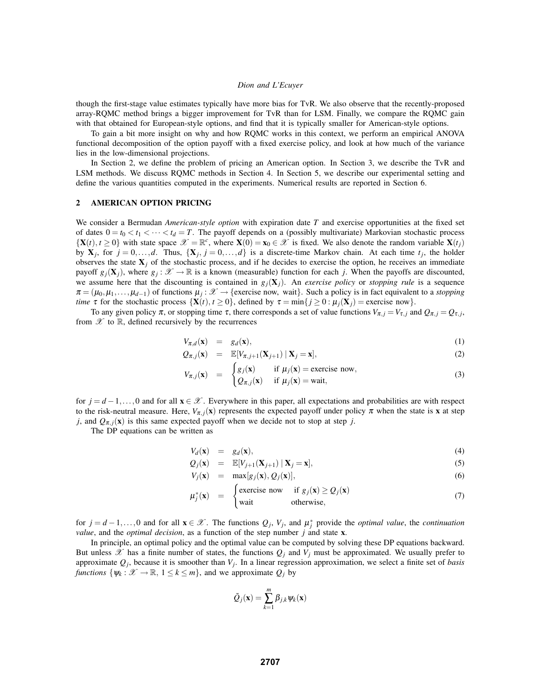though the first-stage value estimates typically have more bias for TvR. We also observe that the recently-proposed array-RQMC method brings a bigger improvement for TvR than for LSM. Finally, we compare the RQMC gain with that obtained for European-style options, and find that it is typically smaller for American-style options.

To gain a bit more insight on why and how RQMC works in this context, we perform an empirical ANOVA functional decomposition of the option payoff with a fixed exercise policy, and look at how much of the variance lies in the low-dimensional projections.

In Section 2, we define the problem of pricing an American option. In Section 3, we describe the TvR and LSM methods. We discuss RQMC methods in Section 4. In Section 5, we describe our experimental setting and define the various quantities computed in the experiments. Numerical results are reported in Section 6.

### 2 AMERICAN OPTION PRICING

We consider a Bermudan *American-style option* with expiration date *T* and exercise opportunities at the fixed set of dates  $0 = t_0 < t_1 < \cdots < t_d = T$ . The payoff depends on a (possibly multivariate) Markovian stochastic process  $\{X(t), t \ge 0\}$  with state space  $\mathcal{X} = \mathbb{R}^c$ , where  $X(0) = x_0 \in \mathcal{X}$  is fixed. We also denote the random variable  $X(t_j)$ by  $X_j$ , for  $j = 0, \ldots, d$ . Thus,  $\{X_j, j = 0, \ldots, d\}$  is a discrete-time Markov chain. At each time  $t_j$ , the holder observes the state  $X_j$  of the stochastic process, and if he decides to exercise the option, he receives an immediate payoff  $g_j(\mathbf{X}_j)$ , where  $g_j: \mathcal{X} \to \mathbb{R}$  is a known (measurable) function for each *j*. When the payoffs are discounted, we assume here that the discounting is contained in  $g_i(\mathbf{X}_i)$ . An *exercise policy* or *stopping rule* is a sequence  $\pi = (\mu_0, \mu_1, \ldots, \mu_{d-1})$  of functions  $\mu_i : \mathcal{X} \to \{\text{exercise now, wait}\}\)$ . Such a policy is in fact equivalent to a *stopping time*  $\tau$  for the stochastic process  $\{X(t), t \ge 0\}$ , defined by  $\tau = \min\{j \ge 0 : \mu_j(X_j) = \text{exercise now}\}.$ 

To any given policy  $\pi$ , or stopping time  $\tau$ , there corresponds a set of value functions  $V_{\pi, i} = V_{\tau, i}$  and  $Q_{\pi, i} = Q_{\tau, i}$ , from  $\mathscr X$  to  $\mathbb R$ , defined recursively by the recurrences

$$
V_{\pi,d}(\mathbf{x}) = g_d(\mathbf{x}), \tag{1}
$$

$$
Q_{\pi,j}(\mathbf{x}) = \mathbb{E}[V_{\pi,j+1}(\mathbf{X}_{j+1}) \mid \mathbf{X}_j = \mathbf{x}], \tag{2}
$$

$$
V_{\pi,j}(\mathbf{x}) = \begin{cases} g_j(\mathbf{x}) & \text{if } \mu_j(\mathbf{x}) = \text{exercise now,} \\ Q_{\pi,j}(\mathbf{x}) & \text{if } \mu_j(\mathbf{x}) = \text{wait,} \end{cases}
$$
(3)

for  $j = d - 1, \ldots, 0$  and for all  $\mathbf{x} \in \mathcal{X}$ . Everywhere in this paper, all expectations and probabilities are with respect to the risk-neutral measure. Here,  $V_{\pi, j}(\mathbf{x})$  represents the expected payoff under policy  $\pi$  when the state is x at step *j*, and  $Q_{\pi,i}(x)$  is this same expected payoff when we decide not to stop at step *j*.

The DP equations can be written as

$$
V_d(\mathbf{x}) = g_d(\mathbf{x}), \tag{4}
$$

$$
Q_j(\mathbf{x}) = \mathbb{E}[V_{j+1}(\mathbf{X}_{j+1}) \mid \mathbf{X}_j = \mathbf{x}], \tag{5}
$$

$$
V_j(\mathbf{x}) = \max[g_j(\mathbf{x}), Q_j(\mathbf{x})], \qquad (6)
$$

$$
\mu_j^*(\mathbf{x}) = \begin{cases}\n\text{exercise now} & \text{if } g_j(\mathbf{x}) \ge Q_j(\mathbf{x}) \\
\text{wait} & \text{otherwise,}\n\end{cases} (7)
$$

for  $j = d - 1, \ldots, 0$  and for all  $\mathbf{x} \in \mathcal{X}$ . The functions  $Q_j$ ,  $V_j$ , and  $\mu_j^*$  provide the *optimal value*, the *continuation value*, and the *optimal decision*, as a function of the step number *j* and state x.

In principle, an optimal policy and the optimal value can be computed by solving these DP equations backward. But unless  $\mathscr X$  has a finite number of states, the functions  $Q_j$  and  $V_j$  must be approximated. We usually prefer to approximate *Qj*, because it is smoother than *Vj*. In a linear regression approximation, we select a finite set of *basis functions*  $\{\psi_k : \mathcal{X} \to \mathbb{R}, 1 \leq k \leq m\}$ , and we approximate  $Q_j$  by

$$
\tilde{Q}_j(\mathbf{x}) = \sum_{k=1}^m \beta_{j,k} \psi_k(\mathbf{x})
$$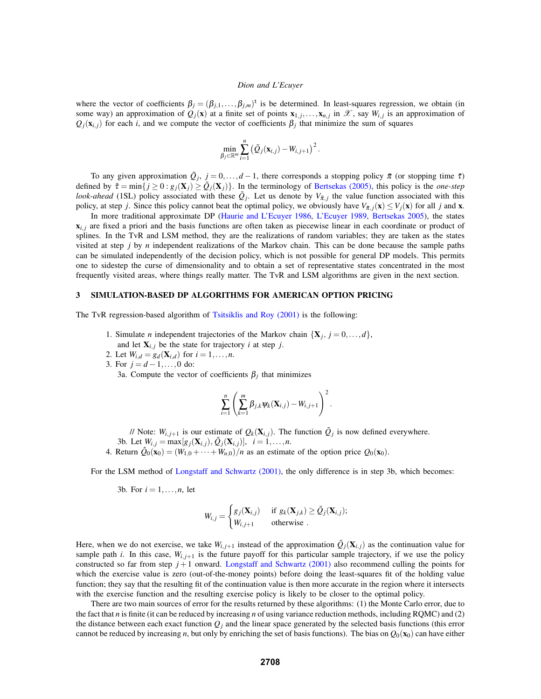where the vector of coefficients  $\beta_j = (\beta_{j,1}, \dots, \beta_{j,m})^t$  is be determined. In least-squares regression, we obtain (in some way) an approximation of  $Q_i(\mathbf{x})$  at a finite set of points  $\mathbf{x}_{1,i},...,\mathbf{x}_{n,i}$  in  $\mathscr{X}$ , say  $W_{i,j}$  is an approximation of  $Q_i(\mathbf{x}_{i,j})$  for each *i*, and we compute the vector of coefficients  $\beta_i$  that minimize the sum of squares

$$
\min_{\beta_j \in \mathbb{R}^m} \sum_{i=1}^n \left( \tilde{Q}_j(\mathbf{x}_{i,j}) - W_{i,j+1} \right)^2.
$$

To any given approximation  $\tilde{Q}_j$ ,  $j = 0, \ldots, d-1$ , there corresponds a stopping policy  $\tilde{\pi}$  (or stopping time  $\tilde{\tau}$ ) defined by  $\tilde{\tau} = \min\{j \ge 0 : g_j(\mathbf{X}_j) \ge \tilde{Q}_j(\mathbf{X}_j)\}$ . In the terminology of Bertsekas (2005), this policy is the *one-step look-ahead* (1SL) policy associated with these  $\tilde{Q}_j$ . Let us denote by  $V_{\pi,j}$  the value function associated with this policy, at step *j*. Since this policy cannot beat the optimal policy, we obviously have  $V_{\bar{\pi},j}(\mathbf{x}) \leq V_j(\mathbf{x})$  for all *j* and **x**.

In more traditional approximate DP (Haurie and L'Ecuyer 1986, L'Ecuyer 1989, Bertsekas 2005), the states  $x_i$  *j* are fixed a priori and the basis functions are often taken as piecewise linear in each coordinate or product of splines. In the TvR and LSM method, they are the realizations of random variables; they are taken as the states visited at step *j* by *n* independent realizations of the Markov chain. This can be done because the sample paths can be simulated independently of the decision policy, which is not possible for general DP models. This permits one to sidestep the curse of dimensionality and to obtain a set of representative states concentrated in the most frequently visited areas, where things really matter. The TvR and LSM algorithms are given in the next section.

## 3 SIMULATION-BASED DP ALGORITHMS FOR AMERICAN OPTION PRICING

The TvR regression-based algorithm of Tsitsiklis and Roy (2001) is the following:

- 1. Simulate *n* independent trajectories of the Markov chain  $\{X_i, j = 0, \ldots, d\}$ , and let  $X_{i,j}$  be the state for trajectory *i* at step *j*.
- 2. Let  $W_{i,d} = g_d(\mathbf{X}_{i,d})$  for  $i = 1, ..., n$ .
- 3. For  $j = d 1, ..., 0$  do:

3a. Compute the vector of coefficients β*<sup>j</sup>* that minimizes

$$
\sum_{i=1}^n \left( \sum_{k=1}^m \beta_{j,k} \psi_k(\mathbf{X}_{i,j}) - W_{i,j+1} \right)^2.
$$

// Note:  $W_{i,j+1}$  is our estimate of  $Q_k(\mathbf{X}_{i,j})$ . The function  $\tilde{Q}_j$  is now defined everywhere.

- 3b. Let  $W_{i,j} = \max[g_i(\mathbf{X}_{i,j}), \hat{Q}_j(\mathbf{X}_{i,j})], i = 1, ..., n$ .
- 4. Return  $\hat{Q}_0(\mathbf{x}_0) = (W_{1,0} + \cdots + W_{n,0})/n$  as an estimate of the option price  $Q_0(\mathbf{x}_0)$ .

For the LSM method of Longstaff and Schwartz (2001), the only difference is in step 3b, which becomes:

3b. For  $i = 1, ..., n$ , let

$$
W_{i,j} = \begin{cases} g_j(\mathbf{X}_{i,j}) & \text{if } g_k(\mathbf{X}_{j,k}) \ge \tilde{Q}_j(\mathbf{X}_{i,j}); \\ W_{i,j+1} & \text{otherwise} \end{cases}
$$

Here, when we do not exercise, we take  $W_{i,j+1}$  instead of the approximation  $\tilde{Q}_j(X_{i,j})$  as the continuation value for sample path *i*. In this case,  $W_{i,j+1}$  is the future payoff for this particular sample trajectory, if we use the policy constructed so far from step  $j+1$  onward. Longstaff and Schwartz (2001) also recommend culling the points for which the exercise value is zero (out-of-the-money points) before doing the least-squares fit of the holding value function; they say that the resulting fit of the continuation value is then more accurate in the region where it intersects with the exercise function and the resulting exercise policy is likely to be closer to the optimal policy.

There are two main sources of error for the results returned by these algorithms: (1) the Monte Carlo error, due to the fact that *n* is finite (it can be reduced by increasing *n* of using variance reduction methods, including RQMC) and (2) the distance between each exact function  $Q_i$  and the linear space generated by the selected basis functions (this error cannot be reduced by increasing *n*, but only by enriching the set of basis functions). The bias on  $Q_0(\mathbf{x}_0)$  can have either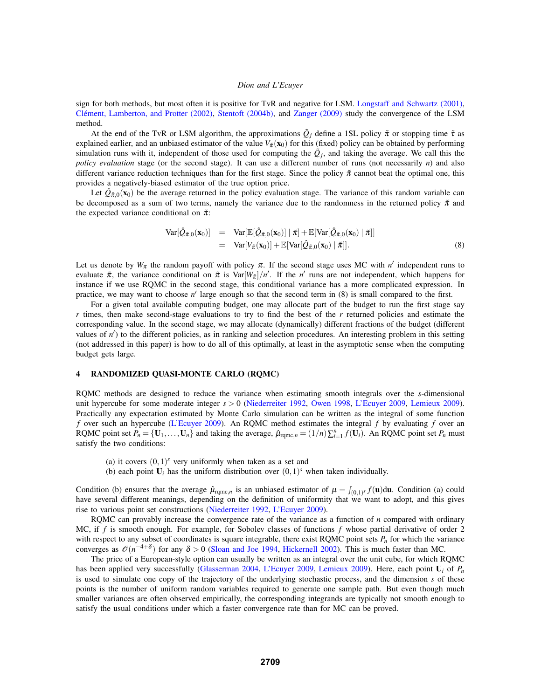sign for both methods, but most often it is positive for TvR and negative for LSM. Longstaff and Schwartz (2001), Clément, Lamberton, and Protter (2002), Stentoft (2004b), and Zanger (2009) study the convergence of the LSM method.

At the end of the TvR or LSM algorithm, the approximations  $\tilde{Q}_i$  define a 1SL policy  $\tilde{\pi}$  or stopping time  $\tilde{\tau}$  as explained earlier, and an unbiased estimator of the value  $V_{\pi}(\mathbf{x}_0)$  for this (fixed) policy can be obtained by performing simulation runs with it, independent of those used for computing the  $\tilde{Q}_i$ , and taking the average. We call this the *policy evaluation* stage (or the second stage). It can use a different number of runs (not necessarily *n*) and also different variance reduction techniques than for the first stage. Since the policy  $\tilde{\pi}$  cannot beat the optimal one, this provides a negatively-biased estimator of the true option price.

Let  $\hat{Q}_{\bar{\pi},0}(x_0)$  be the average returned in the policy evaluation stage. The variance of this random variable can be decomposed as a sum of two terms, namely the variance due to the randomness in the returned policy  $\tilde{\pi}$  and the expected variance conditional on  $\tilde{\pi}$ :

$$
\begin{array}{rcl}\n\text{Var}[\hat{Q}_{\tilde{\pi},0}(\mathbf{x}_0)] & = & \text{Var}[\mathbb{E}[\hat{Q}_{\tilde{\pi},0}(\mathbf{x}_0)] \mid \tilde{\pi}] + \mathbb{E}[\text{Var}[\hat{Q}_{\tilde{\pi},0}(\mathbf{x}_0)] \mid \tilde{\pi}]] \\
& = & \text{Var}[V_{\tilde{\pi}}(\mathbf{x}_0)] + \mathbb{E}[\text{Var}[\hat{Q}_{\tilde{\pi},0}(\mathbf{x}_0)] \mid \tilde{\pi}]].\n\end{array} \tag{8}
$$

Let us denote by  $W_{\pi}$  the random payoff with policy  $\pi$ . If the second stage uses MC with *n'* independent runs to evaluate  $\tilde{\pi}$ , the variance conditional on  $\tilde{\pi}$  is  $Var[W_{\tilde{\pi}}]/n'$ . If the *n'* runs are not independent, which happens for instance if we use RQMC in the second stage, this conditional variance has a more complicated expression. In practice, we may want to choose  $n'$  large enough so that the second term in  $(8)$  is small compared to the first.

For a given total available computing budget, one may allocate part of the budget to run the first stage say *r* times, then make second-stage evaluations to try to find the best of the *r* returned policies and estimate the corresponding value. In the second stage, we may allocate (dynamically) different fractions of the budget (different values of  $n'$ ) to the different policies, as in ranking and selection procedures. An interesting problem in this setting (not addressed in this paper) is how to do all of this optimally, at least in the asymptotic sense when the computing budget gets large.

# 4 RANDOMIZED QUASI-MONTE CARLO (RQMC)

RQMC methods are designed to reduce the variance when estimating smooth integrals over the *s*-dimensional unit hypercube for some moderate integer *s* > 0 (Niederreiter 1992, Owen 1998, L'Ecuyer 2009, Lemieux 2009). Practically any expectation estimated by Monte Carlo simulation can be written as the integral of some function *f* over such an hypercube (L'Ecuyer 2009). An RQMC method estimates the integral *f* by evaluating *f* over an RQMC point set  $P_n = \{U_1, \ldots, U_n\}$  and taking the average,  $\hat{\mu}_{\text{rqmc},n} = (1/n) \sum_{i=1}^n f(U_i)$ . An RQMC point set  $P_n$  must satisfy the two conditions:

- (a) it covers  $(0,1)$ <sup>s</sup> very uniformly when taken as a set and
- (b) each point  $U_i$  has the uniform distribution over  $(0,1)^s$  when taken individually.

Condition (b) ensures that the average  $\hat{\mu}_{\text{rqmc},n}$  is an unbiased estimator of  $\mu = \int_{(0,1)^s} f(\mathbf{u}) d\mathbf{u}$ . Condition (a) could have several different meanings, depending on the definition of uniformity that we want to adopt, and this gives rise to various point set constructions (Niederreiter 1992, L'Ecuyer 2009).

RQMC can provably increase the convergence rate of the variance as a function of *n* compared with ordinary MC, if *f* is smooth enough. For example, for Sobolev classes of functions *f* whose partial derivative of order 2 with respect to any subset of coordinates is square integrable, there exist RQMC point sets  $P_n$  for which the variance converges as  $\mathcal{O}(n^{-4+\delta})$  for any  $\delta > 0$  (Sloan and Joe 1994, Hickernell 2002). This is much faster than MC.

The price of a European-style option can usually be written as an integral over the unit cube, for which RQMC has been applied very successfully (Glasserman 2004, L'Ecuyer 2009, Lemieux 2009). Here, each point U*<sup>i</sup>* of *Pn* is used to simulate one copy of the trajectory of the underlying stochastic process, and the dimension *s* of these points is the number of uniform random variables required to generate one sample path. But even though much smaller variances are often observed empirically, the corresponding integrands are typically not smooth enough to satisfy the usual conditions under which a faster convergence rate than for MC can be proved.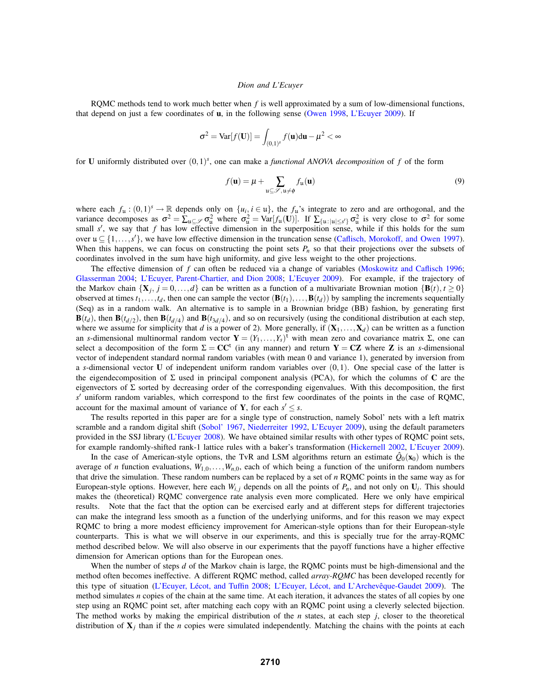RQMC methods tend to work much better when *f* is well approximated by a sum of low-dimensional functions, that depend on just a few coordinates of  $\bf{u}$ , in the following sense (Owen 1998, L'Ecuyer 2009). If

$$
\sigma^2 = \text{Var}[f(\mathbf{U})] = \int_{(0,1)^s} f(\mathbf{u}) d\mathbf{u} - \mu^2 < \infty
$$

for U uniformly distributed over (0,1)*<sup>s</sup>* , one can make a *functional ANOVA decomposition* of *f* of the form

$$
f(\mathbf{u}) = \mu + \sum_{\mathbf{u} \subseteq \mathscr{S}, \mathbf{u} \neq \phi} f_{\mathbf{u}}(\mathbf{u})
$$
(9)

where each  $f_u : (0,1)^s \to \mathbb{R}$  depends only on  $\{u_i, i \in \mathfrak{u}\}$ , the  $f_u$ 's integrate to zero and are orthogonal, and the variance decomposes as  $\sigma^2 = \sum_{u \subseteq \mathcal{S}} \sigma_u^2$  where  $\sigma_u^2 = \text{Var}[f_u(\mathbf{U})]$ . If  $\sum_{\{u : |u| \leq s'\}} \sigma_u^2$  is very close to  $\sigma^2$  for some small  $s'$ , we say that  $f$  has low effective dimension in the superposition sense, while if this holds for the sum over  $u \subseteq \{1, \ldots, s'\}$ , we have low effective dimension in the truncation sense (Caflisch, Morokoff, and Owen 1997). When this happens, we can focus on constructing the point sets  $P_n$  so that their projections over the subsets of coordinates involved in the sum have high uniformity, and give less weight to the other projections.

The effective dimension of *f* can often be reduced via a change of variables (Moskowitz and Caflisch 1996; Glasserman 2004; L'Ecuyer, Parent-Chartier, and Dion 2008; L'Ecuyer 2009). For example, if the trajectory of the Markov chain  $\{X_i, i = 0, \ldots, d\}$  can be written as a function of a multivariate Brownian motion  $\{B(t), t \geq 0\}$ observed at times  $t_1, \ldots, t_d$ , then one can sample the vector  $(\mathbf{B}(t_1), \ldots, \mathbf{B}(t_d))$  by sampling the increments sequentially (Seq) as in a random walk. An alternative is to sample in a Brownian bridge (BB) fashion, by generating first  $\mathbf{B}(t_d)$ , then  $\mathbf{B}(t_{d/2})$ , then  $\mathbf{B}(t_{d/4})$  and  $\mathbf{B}(t_{3d/4})$ , and so on recursively (using the conditional distribution at each step, where we assume for simplicity that *d* is a power of 2). More generally, if  $(X_1,...,X_d)$  can be written as a function an *s*-dimensional multinormal random vector  $\mathbf{Y} = (Y_1, \ldots, Y_s)^t$  with mean zero and covariance matrix  $\Sigma$ , one can select a decomposition of the form  $\Sigma = CC^{\dagger}$  (in any manner) and return **Y** = CZ where Z is an *s*-dimensional vector of independent standard normal random variables (with mean 0 and variance 1), generated by inversion from a *s*-dimensional vector U of independent uniform random variables over (0,1). One special case of the latter is the eigendecomposition of  $\Sigma$  used in principal component analysis (PCA), for which the columns of C are the eigenvectors of  $\Sigma$  sorted by decreasing order of the corresponding eigenvalues. With this decomposition, the first *s*<sup> $\prime$ </sup> uniform random variables, which correspond to the first few coordinates of the points in the case of RQMC, account for the maximal amount of variance of **Y**, for each  $s' \leq s$ .

The results reported in this paper are for a single type of construction, namely Sobol' nets with a left matrix scramble and a random digital shift (Sobol' 1967, Niederreiter 1992, L'Ecuyer 2009), using the default parameters provided in the SSJ library (L'Ecuyer 2008). We have obtained similar results with other types of RQMC point sets, for example randomly-shifted rank-1 lattice rules with a baker's transformation (Hickernell 2002, L'Ecuyer 2009).

In the case of American-style options, the TvR and LSM algorithms return an estimate  $\hat{Q}_0(\mathbf{x}_0)$  which is the average of *n* function evaluations,  $W_{1,0},...,W_{n,0}$ , each of which being a function of the uniform random numbers that drive the simulation. These random numbers can be replaced by a set of *n* RQMC points in the same way as for European-style options. However, here each  $W_{i,j}$  depends on all the points of  $P_n$ , and not only on  $U_i$ . This should makes the (theoretical) RQMC convergence rate analysis even more complicated. Here we only have empirical results. Note that the fact that the option can be exercised early and at different steps for different trajectories can make the integrand less smooth as a function of the underlying uniforms, and for this reason we may expect RQMC to bring a more modest efficiency improvement for American-style options than for their European-style counterparts. This is what we will observe in our experiments, and this is specially true for the array-RQMC method described below. We will also observe in our experiments that the payoff functions have a higher effective dimension for American options than for the European ones.

When the number of steps *d* of the Markov chain is large, the RQMC points must be high-dimensional and the method often becomes ineffective. A different RQMC method, called *array-RQMC* has been developed recently for this type of situation (L'Ecuyer, Lécot, and Tuffin 2008; L'Ecuyer, Lécot, and L'Archevêque-Gaudet 2009). The method simulates *n* copies of the chain at the same time. At each iteration, it advances the states of all copies by one step using an RQMC point set, after matching each copy with an RQMC point using a cleverly selected bijection. The method works by making the empirical distribution of the *n* states, at each step *j*, closer to the theoretical distribution of  $X_j$  than if the *n* copies were simulated independently. Matching the chains with the points at each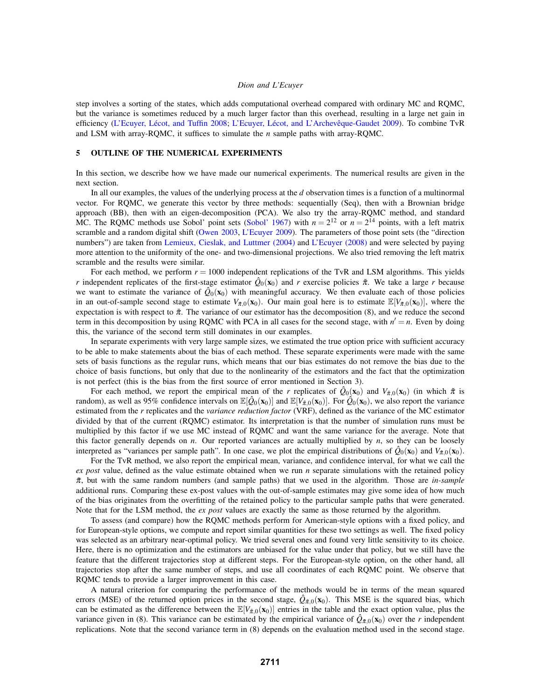step involves a sorting of the states, which adds computational overhead compared with ordinary MC and RQMC, but the variance is sometimes reduced by a much larger factor than this overhead, resulting in a large net gain in efficiency (L'Ecuyer, Lécot, and Tuffin 2008; L'Ecuyer, Lécot, and L'Archevêque-Gaudet 2009). To combine TvR and LSM with array-RQMC, it suffices to simulate the *n* sample paths with array-RQMC.

#### 5 OUTLINE OF THE NUMERICAL EXPERIMENTS

In this section, we describe how we have made our numerical experiments. The numerical results are given in the next section.

In all our examples, the values of the underlying process at the *d* observation times is a function of a multinormal vector. For RQMC, we generate this vector by three methods: sequentially (Seq), then with a Brownian bridge approach (BB), then with an eigen-decomposition (PCA). We also try the array-RQMC method, and standard MC. The RQMC methods use Sobol' point sets (Sobol' 1967) with  $n = 2^{12}$  or  $n = 2^{14}$  points, with a left matrix scramble and a random digital shift (Owen 2003, L'Ecuyer 2009). The parameters of those point sets (the "direction numbers") are taken from Lemieux, Cieslak, and Luttmer (2004) and L'Ecuyer (2008) and were selected by paying more attention to the uniformity of the one- and two-dimensional projections. We also tried removing the left matrix scramble and the results were similar.

For each method, we perform  $r = 1000$  independent replications of the TvR and LSM algorithms. This yields *r* independent replicates of the first-stage estimator  $\hat{Q}_0(\mathbf{x}_0)$  and *r* exercise policies  $\tilde{\pi}$ . We take a large *r* because we want to estimate the variance of  $\hat{Q}_0(\mathbf{x}_0)$  with meaningful accuracy. We then evaluate each of those policies in an out-of-sample second stage to estimate  $V_{\tilde{\pi},0}(\mathbf{x}_0)$ . Our main goal here is to estimate  $\mathbb{E}[V_{\tilde{\pi},0}(\mathbf{x}_0)]$ , where the expectation is with respect to  $\tilde{\pi}$ . The variance of our estimator has the decomposition (8), and we reduce the second term in this decomposition by using ROMC with PCA in all cases for the second stage, with  $n' = n$ . Even by doing this, the variance of the second term still dominates in our examples.

In separate experiments with very large sample sizes, we estimated the true option price with sufficient accuracy to be able to make statements about the bias of each method. These separate experiments were made with the same sets of basis functions as the regular runs, which means that our bias estimates do not remove the bias due to the choice of basis functions, but only that due to the nonlinearity of the estimators and the fact that the optimization is not perfect (this is the bias from the first source of error mentioned in Section 3).

For each method, we report the empirical mean of the *r* replicates of  $\hat{Q}_0(\mathbf{x}_0)$  and  $V_{\tilde{\pi},0}(\mathbf{x}_0)$  (in which  $\tilde{\pi}$  is random), as well as 95% confidence intervals on  $\mathbb{E}[\hat{Q}_0(\mathbf{x}_0)]$  and  $\mathbb{E}[V_{\tilde{\pi},0}(\mathbf{x}_0)]$ . For  $\hat{Q}_0(\mathbf{x}_0)$ , we also report the variance estimated from the *r* replicates and the *variance reduction factor* (VRF), defined as the variance of the MC estimator divided by that of the current (RQMC) estimator. Its interpretation is that the number of simulation runs must be multiplied by this factor if we use MC instead of RQMC and want the same variance for the average. Note that this factor generally depends on  $n$ . Our reported variances are actually multiplied by  $n$ , so they can be loosely interpreted as "variances per sample path". In one case, we plot the empirical distributions of  $\hat{Q}_0(\mathbf{x}_0)$  and  $V_{\tilde{\pi},0}(\mathbf{x}_0)$ .

For the TvR method, we also report the empirical mean, variance, and confidence interval, for what we call the *ex post* value, defined as the value estimate obtained when we run *n* separate simulations with the retained policy  $\tilde{\pi}$ , but with the same random numbers (and sample paths) that we used in the algorithm. Those are *in-sample* additional runs. Comparing these ex-post values with the out-of-sample estimates may give some idea of how much of the bias originates from the overfitting of the retained policy to the particular sample paths that were generated. Note that for the LSM method, the *ex post* values are exactly the same as those returned by the algorithm.

To assess (and compare) how the RQMC methods perform for American-style options with a fixed policy, and for European-style options, we compute and report similar quantities for these two settings as well. The fixed policy was selected as an arbitrary near-optimal policy. We tried several ones and found very little sensitivity to its choice. Here, there is no optimization and the estimators are unbiased for the value under that policy, but we still have the feature that the different trajectories stop at different steps. For the European-style option, on the other hand, all trajectories stop after the same number of steps, and use all coordinates of each RQMC point. We observe that RQMC tends to provide a larger improvement in this case.

A natural criterion for comparing the performance of the methods would be in terms of the mean squared errors (MSE) of the returned option prices in the second stage,  $\hat{Q}_{\pi,0}(x_0)$ . This MSE is the squared bias, which can be estimated as the difference between the  $\mathbb{E}[V_{\bar{\pi},0}(x_0)]$  entries in the table and the exact option value, plus the variance given in (8). This variance can be estimated by the empirical variance of  $\hat{Q}_{\pi,0}(\mathbf{x}_0)$  over the *r* independent replications. Note that the second variance term in (8) depends on the evaluation method used in the second stage.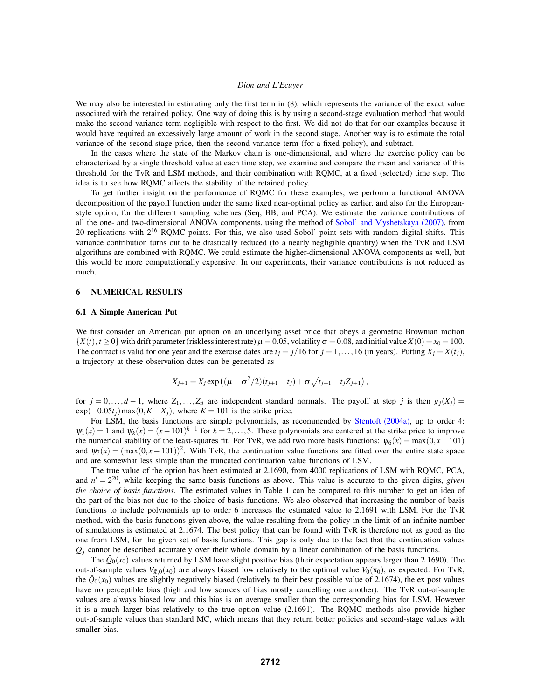We may also be interested in estimating only the first term in (8), which represents the variance of the exact value associated with the retained policy. One way of doing this is by using a second-stage evaluation method that would make the second variance term negligible with respect to the first. We did not do that for our examples because it would have required an excessively large amount of work in the second stage. Another way is to estimate the total variance of the second-stage price, then the second variance term (for a fixed policy), and subtract.

In the cases where the state of the Markov chain is one-dimensional, and where the exercise policy can be characterized by a single threshold value at each time step, we examine and compare the mean and variance of this threshold for the TvR and LSM methods, and their combination with RQMC, at a fixed (selected) time step. The idea is to see how RQMC affects the stability of the retained policy.

To get further insight on the performance of RQMC for these examples, we perform a functional ANOVA decomposition of the payoff function under the same fixed near-optimal policy as earlier, and also for the Europeanstyle option, for the different sampling schemes (Seq, BB, and PCA). We estimate the variance contributions of all the one- and two-dimensional ANOVA components, using the method of Sobol' and Myshetskaya (2007), from 20 replications with  $2^{16}$  RQMC points. For this, we also used Sobol' point sets with random digital shifts. This variance contribution turns out to be drastically reduced (to a nearly negligible quantity) when the TvR and LSM algorithms are combined with RQMC. We could estimate the higher-dimensional ANOVA components as well, but this would be more computationally expensive. In our experiments, their variance contributions is not reduced as much.

# 6 NUMERICAL RESULTS

#### 6.1 A Simple American Put

We first consider an American put option on an underlying asset price that obeys a geometric Brownian motion  ${X(t), t \ge 0}$  with drift parameter (riskless interest rate)  $\mu = 0.05$ , volatility  $\sigma = 0.08$ , and initial value  $X(0) = x_0 = 100$ . The contract is valid for one year and the exercise dates are  $t_j = j/16$  for  $j = 1, \ldots, 16$  (in years). Putting  $X_i = X(t_i)$ , a trajectory at these observation dates can be generated as

$$
X_{j+1} = X_j \exp\left((\mu - \sigma^2/2)(t_{j+1} - t_j) + \sigma\sqrt{t_{j+1} - t_j}Z_{j+1}\right),
$$

for  $j = 0, \ldots, d-1$ , where  $Z_1, \ldots, Z_d$  are independent standard normals. The payoff at step *j* is then  $g_j(X_j) =$  $\exp(-0.05t_j)$  max $(0, K - X_i)$ , where  $K = 101$  is the strike price.

For LSM, the basis functions are simple polynomials, as recommended by Stentoft (2004a), up to order 4:  $\psi_1(x) = 1$  and  $\psi_k(x) = (x - 101)^{k-1}$  for  $k = 2, \ldots, 5$ . These polynomials are centered at the strike price to improve the numerical stability of the least-squares fit. For TvR, we add two more basis functions:  $\psi_6(x) = \max(0, x - 101)$ and  $\psi_7(x) = (\max(0, x - 101))^2$ . With TvR, the continuation value functions are fitted over the entire state space and are somewhat less simple than the truncated continuation value functions of LSM.

The true value of the option has been estimated at 2.1690, from 4000 replications of LSM with RQMC, PCA, and  $n' = 2^{20}$ , while keeping the same basis functions as above. This value is accurate to the given digits, *given the choice of basis functions*. The estimated values in Table 1 can be compared to this number to get an idea of the part of the bias not due to the choice of basis functions. We also observed that increasing the number of basis functions to include polynomials up to order 6 increases the estimated value to 2.1691 with LSM. For the TvR method, with the basis functions given above, the value resulting from the policy in the limit of an infinite number of simulations is estimated at 2.1674. The best policy that can be found with TvR is therefore not as good as the one from LSM, for the given set of basis functions. This gap is only due to the fact that the continuation values  $Q_i$  cannot be described accurately over their whole domain by a linear combination of the basis functions.

The  $\hat{Q}_0(x_0)$  values returned by LSM have slight positive bias (their expectation appears larger than 2.1690). The out-of-sample values  $V_{\bar{\pi},0}(x_0)$  are always biased low relatively to the optimal value  $V_0(\mathbf{x}_0)$ , as expected. For TvR, the  $\hat{O}_0(x_0)$  values are slightly negatively biased (relatively to their best possible value of 2.1674), the ex post values have no perceptible bias (high and low sources of bias mostly cancelling one another). The TvR out-of-sample values are always biased low and this bias is on average smaller than the corresponding bias for LSM. However it is a much larger bias relatively to the true option value (2.1691). The RQMC methods also provide higher out-of-sample values than standard MC, which means that they return better policies and second-stage values with smaller bias.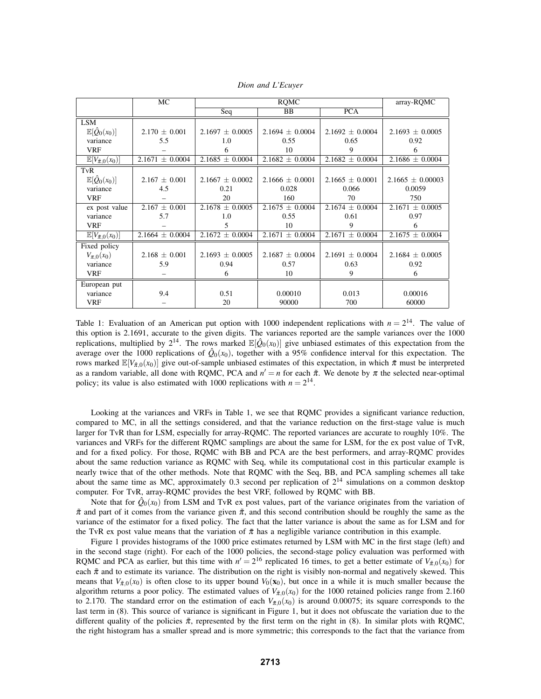|                                      | MC                  |                     | array-RQMC          |                     |                      |
|--------------------------------------|---------------------|---------------------|---------------------|---------------------|----------------------|
|                                      |                     | Seq                 | BB                  | <b>PCA</b>          |                      |
| <b>LSM</b>                           |                     |                     |                     |                     |                      |
| $\mathbb{E}[\hat{Q}_0(x_0)]$         | $2.170 \pm 0.001$   | $2.1697 + 0.0005$   | $2.1694 \pm 0.0004$ | $2.1692 \pm 0.0004$ | $2.1693 \pm 0.0005$  |
| variance                             | 5.5                 | 1.0                 | 0.55                | 0.65                | 0.92                 |
| <b>VRF</b>                           |                     | 6                   | 10                  | 9                   | 6                    |
| $\mathbb{E}[V_{\tilde{\pi},0}(x_0)]$ | $2.1671 \pm 0.0004$ | $2.1685 \pm 0.0004$ | $2.1682 \pm 0.0004$ | $2.1682 \pm 0.0004$ | $2.1686 \pm 0.0004$  |
| TvR                                  |                     |                     |                     |                     |                      |
| $\mathbb{E}[\hat{Q}_0(x_0)]$         | $2.167 + 0.001$     | $2.1667 \pm 0.0002$ | $2.1666 + 0.0001$   | $2.1665 + 0.0001$   | $2.1665 \pm 0.00003$ |
| variance                             | 4.5                 | 0.21                | 0.028               | 0.066               | 0.0059               |
| <b>VRF</b>                           |                     | 20                  | 160                 | 70                  | 750                  |
| ex post value                        | $2.167 \pm 0.001$   | $2.1678 \pm 0.0005$ | $2.1675 \pm 0.0004$ | $2.1674 \pm 0.0004$ | $2.1671 \pm 0.0005$  |
| variance                             | 5.7                 | 1.0                 | 0.55                | 0.61                | 0.97                 |
| <b>VRF</b>                           |                     | 5                   | 10                  | 9                   | 6                    |
| $\mathbb{E}[V_{\tilde{\pi},0}(x_0)]$ | $2.1664 \pm 0.0004$ | $2.1672 \pm 0.0004$ | $2.1671 \pm 0.0004$ | $2.1671 \pm 0.0004$ | $2.1675 \pm 0.0004$  |
| Fixed policy                         |                     |                     |                     |                     |                      |
| $V_{\pi,0}(x_0)$                     | $2.168 \pm 0.001$   | $2.1693 + 0.0005$   | $2.1687 + 0.0004$   | $2.1691 + 0.0004$   | $2.1684 \pm 0.0005$  |
| variance                             | 5.9                 | 0.94                | 0.57                | 0.63                | 0.92                 |
| <b>VRF</b>                           |                     | 6                   | 10                  | 9                   | 6                    |
| European put                         |                     |                     |                     |                     |                      |
| variance                             | 9.4                 | 0.51                | 0.00010             | 0.013               | 0.00016              |
| <b>VRF</b>                           |                     | 20                  | 90000               | 700                 | 60000                |

*Dion and L'Ecuyer*

Table 1: Evaluation of an American put option with 1000 independent replications with  $n = 2^{14}$ . The value of this option is 2.1691, accurate to the given digits. The variances reported are the sample variances over the 1000 replications, multiplied by  $2^{14}$ . The rows marked  $\mathbb{E}[\hat{Q}_0(x_0)]$  give unbiased estimates of this expectation from the average over the 1000 replications of  $\hat{Q}_0(x_0)$ , together with a 95% confidence interval for this expectation. The rows marked  $\mathbb{E}[V_{\tilde{\pi},0}(x_0)]$  give out-of-sample unbiased estimates of this expectation, in which  $\tilde{\pi}$  must be interpreted as a random variable, all done with ROMC, PCA and  $n' = n$  for each  $\tilde{\pi}$ . We denote by  $\pi$  the selected near-optimal policy; its value is also estimated with 1000 replications with  $n = 2^{14}$ .

Looking at the variances and VRFs in Table 1, we see that RQMC provides a significant variance reduction, compared to MC, in all the settings considered, and that the variance reduction on the first-stage value is much larger for TvR than for LSM, especially for array-RQMC. The reported variances are accurate to roughly 10%. The variances and VRFs for the different RQMC samplings are about the same for LSM, for the ex post value of TvR, and for a fixed policy. For those, RQMC with BB and PCA are the best performers, and array-RQMC provides about the same reduction variance as RQMC with Seq, while its computational cost in this particular example is nearly twice that of the other methods. Note that RQMC with the Seq, BB, and PCA sampling schemes all take about the same time as MC, approximately 0.3 second per replication of  $2^{14}$  simulations on a common desktop computer. For TvR, array-RQMC provides the best VRF, followed by RQMC with BB.

Note that for  $\hat{Q}_0(x_0)$  from LSM and TvR ex post values, part of the variance originates from the variation of  $\tilde{\pi}$  and part of it comes from the variance given  $\tilde{\pi}$ , and this second contribution should be roughly the same as the variance of the estimator for a fixed policy. The fact that the latter variance is about the same as for LSM and for the TvR ex post value means that the variation of  $\tilde{\pi}$  has a negligible variance contribution in this example.

Figure 1 provides histograms of the 1000 price estimates returned by LSM with MC in the first stage (left) and in the second stage (right). For each of the 1000 policies, the second-stage policy evaluation was performed with ROMC and PCA as earlier, but this time with  $n' = 2^{16}$  replicated 16 times, to get a better estimate of  $V_{\tilde{\pi},0}(x_0)$  for each  $\tilde{\pi}$  and to estimate its variance. The distribution on the right is visibly non-normal and negatively skewed. This means that  $V_{\tilde{\pi},0}(x_0)$  is often close to its upper bound  $V_0(x_0)$ , but once in a while it is much smaller because the algorithm returns a poor policy. The estimated values of  $V_{\bar{\pi},0}(x_0)$  for the 1000 retained policies range from 2.160 to 2.170. The standard error on the estimation of each  $V_{\pi,0}(x_0)$  is around 0.00075; its square corresponds to the last term in (8). This source of variance is significant in Figure 1, but it does not obfuscate the variation due to the different quality of the policies  $\tilde{\pi}$ , represented by the first term on the right in (8). In similar plots with RQMC, the right histogram has a smaller spread and is more symmetric; this corresponds to the fact that the variance from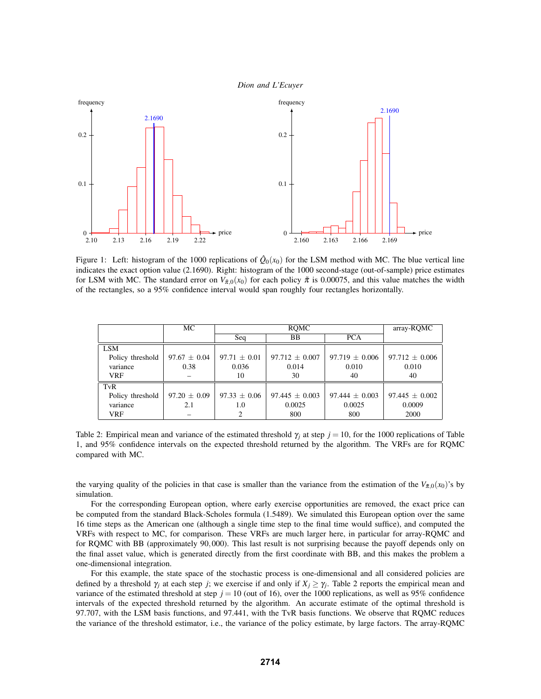



Figure 1: Left: histogram of the 1000 replications of  $\hat{Q}_0(x_0)$  for the LSM method with MC. The blue vertical line indicates the exact option value (2.1690). Right: histogram of the 1000 second-stage (out-of-sample) price estimates for LSM with MC. The standard error on  $V_{\bar{\pi},0}(x_0)$  for each policy  $\bar{\pi}$  is 0.00075, and this value matches the width of the rectangles, so a 95% confidence interval would span roughly four rectangles horizontally.

|                  | МC               |                  | array-RQMC         |                    |                    |
|------------------|------------------|------------------|--------------------|--------------------|--------------------|
|                  |                  | Seq              | ΒB                 | <b>PCA</b>         |                    |
| <b>LSM</b>       |                  |                  |                    |                    |                    |
| Policy threshold | $97.67 \pm 0.04$ | $97.71 \pm 0.01$ | $97.712 \pm 0.007$ | $97.719 \pm 0.006$ | $97.712 \pm 0.006$ |
| variance         | 0.38             | 0.036            | 0.014              | 0.010              | 0.010              |
| <b>VRF</b>       |                  | 10               | 30                 | 40                 | 40                 |
| TvR              |                  |                  |                    |                    |                    |
| Policy threshold | $97.20 \pm 0.09$ | $97.33 \pm 0.06$ | $97.445 \pm 0.003$ | $97.444 \pm 0.003$ | $97.445 \pm 0.002$ |
| variance         | 2.1              | 1.0              | 0.0025             | 0.0025             | 0.0009             |
| <b>VRF</b>       |                  |                  | 800                | 800                | 2000               |

Table 2: Empirical mean and variance of the estimated threshold  $\gamma_i$  at step  $j = 10$ , for the 1000 replications of Table 1, and 95% confidence intervals on the expected threshold returned by the algorithm. The VRFs are for RQMC compared with MC.

the varying quality of the policies in that case is smaller than the variance from the estimation of the  $V_{\pi,0}(x_0)$ 's by simulation.

For the corresponding European option, where early exercise opportunities are removed, the exact price can be computed from the standard Black-Scholes formula (1.5489). We simulated this European option over the same 16 time steps as the American one (although a single time step to the final time would suffice), and computed the VRFs with respect to MC, for comparison. These VRFs are much larger here, in particular for array-RQMC and for RQMC with BB (approximately 90,000). This last result is not surprising because the payoff depends only on the final asset value, which is generated directly from the first coordinate with BB, and this makes the problem a one-dimensional integration.

For this example, the state space of the stochastic process is one-dimensional and all considered policies are defined by a threshold  $\gamma_i$  at each step *j*; we exercise if and only if  $X_i \geq \gamma_i$ . Table 2 reports the empirical mean and variance of the estimated threshold at step  $j = 10$  (out of 16), over the 1000 replications, as well as 95% confidence intervals of the expected threshold returned by the algorithm. An accurate estimate of the optimal threshold is 97.707, with the LSM basis functions, and 97.441, with the TvR basis functions. We observe that RQMC reduces the variance of the threshold estimator, i.e., the variance of the policy estimate, by large factors. The array-RQMC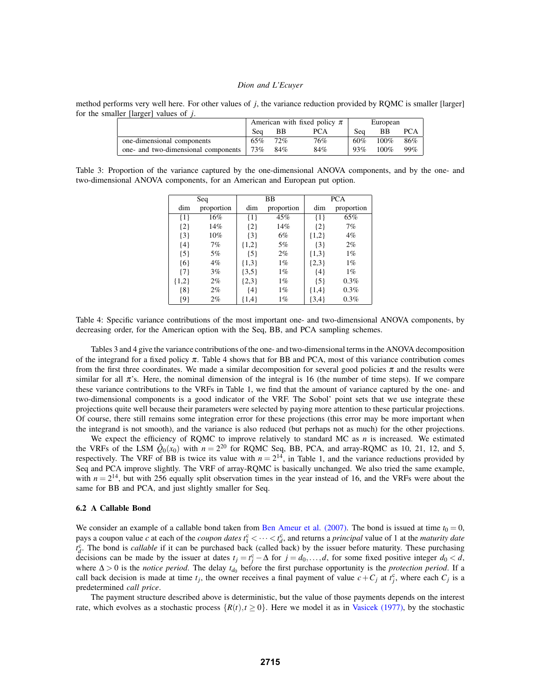method performs very well here. For other values of *j*, the variance reduction provided by RQMC is smaller [larger] for the smaller [larger] values of *j*.

|                                     | American with fixed policy $\pi$ |           |     | European |           |     |
|-------------------------------------|----------------------------------|-----------|-----|----------|-----------|-----|
|                                     | Sea                              | <b>BB</b> | PCA | Sea      | <b>BB</b> | PCA |
| one-dimensional components          | 65%                              | 72%       | 76% | 60%      | $100\%$   | 86% |
| one- and two-dimensional components | 73%                              | 84%       | 84% | 93%      | $100\%$   | 99% |

Table 3: Proportion of the variance captured by the one-dimensional ANOVA components, and by the one- and two-dimensional ANOVA components, for an American and European put option.

| Seq     |            |           | BB         | <b>PCA</b> |            |  |
|---------|------------|-----------|------------|------------|------------|--|
| dim     | proportion | dim       | proportion | dim        | proportion |  |
| $\{1\}$ | 16%        | ${1}$     | 45%        | ${1}$      | 65%        |  |
| ${2}$   | 14%        | ${2}$     | 14%        | ${2}$      | 7%         |  |
| $\{3\}$ | 10%        | ${3}$     | 6%         | ${1,2}$    | $4\%$      |  |
| ${4}$   | 7%         | ${1,2}$   | 5%         | $\{3\}$    | 2%         |  |
| $\{5\}$ | 5%         | $\{5\}$   | 2%         | ${1,3}$    | $1\%$      |  |
| ${6}$   | $4\%$      | ${1,3}$   | $1\%$      | ${2,3}$    | $1\%$      |  |
| $\{7\}$ | 3%         | $\{3,5\}$ | $1\%$      | {4}        | $1\%$      |  |
| ${1,2}$ | 2%         | $\{2,3\}$ | $1\%$      | ${5}$      | $0.3\%$    |  |
| ${8}$   | $2\%$      | {4}       | $1\%$      | ${1,4}$    | 0.3%       |  |
| {9}     | $2\%$      | ${1,4}$   | $1\%$      | $\{3,4\}$  | 0.3%       |  |

Table 4: Specific variance contributions of the most important one- and two-dimensional ANOVA components, by decreasing order, for the American option with the Seq, BB, and PCA sampling schemes.

Tables 3 and 4 give the variance contributions of the one- and two-dimensional terms in the ANOVA decomposition of the integrand for a fixed policy  $\pi$ . Table 4 shows that for BB and PCA, most of this variance contribution comes from the first three coordinates. We made a similar decomposition for several good policies  $\pi$  and the results were similar for all  $\pi$ 's. Here, the nominal dimension of the integral is 16 (the number of time steps). If we compare these variance contributions to the VRFs in Table 1, we find that the amount of variance captured by the one- and two-dimensional components is a good indicator of the VRF. The Sobol' point sets that we use integrate these projections quite well because their parameters were selected by paying more attention to these particular projections. Of course, there still remains some integration error for these projections (this error may be more important when the integrand is not smooth), and the variance is also reduced (but perhaps not as much) for the other projections.

We expect the efficiency of RQMC to improve relatively to standard MC as *n* is increased. We estimated the VRFs of the LSM  $\hat{Q}_0(x_0)$  with  $n = 2^{20}$  for RQMC Seq, BB, PCA, and array-RQMC as 10, 21, 12, and 5, respectively. The VRF of BB is twice its value with  $n = 2^{14}$ , in Table 1, and the variance reductions provided by Seq and PCA improve slightly. The VRF of array-RQMC is basically unchanged. We also tried the same example, with  $n = 2^{14}$ , but with 256 equally split observation times in the year instead of 16, and the VRFs were about the same for BB and PCA, and just slightly smaller for Seq.

# 6.2 A Callable Bond

We consider an example of a callable bond taken from Ben Ameur et al.  $(2007)$ . The bond is issued at time  $t_0 = 0$ , pays a coupon value *c* at each of the *coupon dates*  $t_1^c < \cdots < t_d^c$ , and returns a *principal* value of 1 at the *maturity date*  $t_d^c$ . The bond is *callable* if it can be purchased back (called back) by the issuer before maturity. These purchasing decisions can be made by the issuer at dates  $t_j = t_j^c - \Delta$  for  $j = d_0, \ldots, d$ , for some fixed positive integer  $d_0 < d$ , where  $\Delta > 0$  is the *notice period*. The delay  $t_{d_0}$  before the first purchase opportunity is the *protection period*. If a call back decision is made at time  $t_j$ , the owner receives a final payment of value  $c + C_j$  at  $t_j^c$ , where each  $C_j$  is a predetermined *call price*.

The payment structure described above is deterministic, but the value of those payments depends on the interest rate, which evolves as a stochastic process  $\{R(t), t \ge 0\}$ . Here we model it as in Vasicek (1977), by the stochastic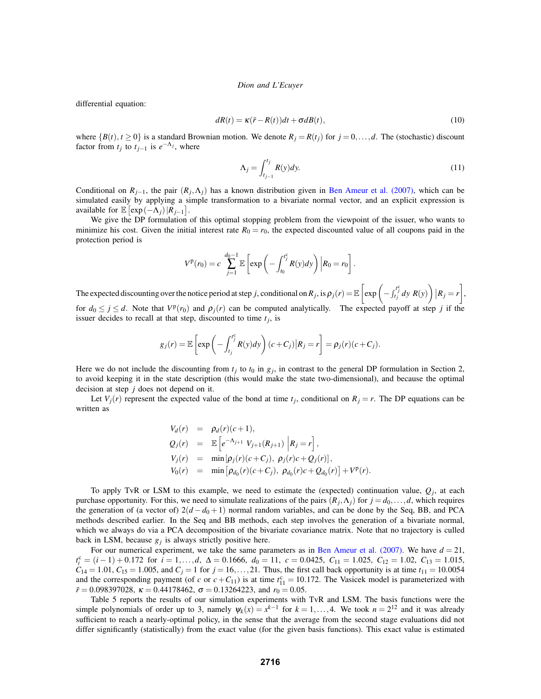differential equation:

$$
dR(t) = \kappa(\bar{r} - R(t))dt + \sigma dB(t),
$$
\n(10)

where  $\{B(t), t \ge 0\}$  is a standard Brownian motion. We denote  $R_i = R(t_i)$  for  $j = 0, \ldots, d$ . The (stochastic) discount factor from  $t_i$  to  $t_{i-1}$  is  $e^{-\Lambda_j}$ , where

$$
\Lambda_j = \int_{t_{j-1}}^{t_j} R(y) dy.
$$
\n(11)

Conditional on  $R_{i-1}$ , the pair  $(R_i, \Lambda_i)$  has a known distribution given in Ben Ameur et al. (2007), which can be simulated easily by applying a simple transformation to a bivariate normal vector, and an explicit expression is available for  $\mathbb{E} \left[ \exp(-\Lambda_j) | R_{j-1} \right]$ .

We give the DP formulation of this optimal stopping problem from the viewpoint of the issuer, who wants to minimize his cost. Given the initial interest rate  $R_0 = r_0$ , the expected discounted value of all coupons paid in the protection period is

$$
V^{p}(r_{0}) = c \sum_{j=1}^{d_{0}-1} \mathbb{E}\left[\exp\left(-\int_{t_{0}}^{t_{j}^{c}} R(y) dy\right) \Big| R_{0} = r_{0}\right].
$$

The expected discounting over the notice period at step *j*, conditional on  $R_j$ , is  $\rho_j(r) = \mathbb{E}\left[\exp\left(-\int_{t_j}^{t_j^c} dy \ R(y)\right)|R_j = r\right]$ , for  $d_0 \le j \le d$ . Note that  $V^p(r_0)$  and  $\rho_j(r)$  can be computed analytically. The expected payoff at step *j* if the issuer decides to recall at that step, discounted to time  $t_i$ , is

$$
g_j(r) = \mathbb{E}\left[\exp\left(-\int_{t_j}^{t_j^c} R(y)dy\right)(c+C_j)\bigg| R_j = r\right] = \rho_j(r)(c+C_j).
$$

Here we do not include the discounting from  $t_j$  to  $t_0$  in  $g_j$ , in contrast to the general DP formulation in Section 2, to avoid keeping it in the state description (this would make the state two-dimensional), and because the optimal decision at step *j* does not depend on it.

Let  $V_i(r)$  represent the expected value of the bond at time  $t_i$ , conditional on  $R_i = r$ . The DP equations can be written as

$$
V_d(r) = \rho_d(r)(c+1),
$$
  
\n
$$
Q_j(r) = \mathbb{E}\left[e^{-\Lambda_{j+1}} V_{j+1}(R_{j+1}) | R_j = r\right],
$$
  
\n
$$
V_j(r) = \min[\rho_j(r)(c+C_j), \rho_j(r)c+Q_j(r)],
$$
  
\n
$$
V_0(r) = \min[\rho_{d_0}(r)(c+C_j), \rho_{d_0}(r)c+Q_{d_0}(r)] + V^p(r).
$$

To apply TvR or LSM to this example, we need to estimate the (expected) continuation value,  $Q_i$ , at each purchase opportunity. For this, we need to simulate realizations of the pairs  $(R_i, \Lambda_i)$  for  $j = d_0, \ldots, d$ , which requires the generation of (a vector of)  $2(d - d_0 + 1)$  normal random variables, and can be done by the Seq, BB, and PCA methods described earlier. In the Seq and BB methods, each step involves the generation of a bivariate normal, which we always do via a PCA decomposition of the bivariate covariance matrix. Note that no trajectory is culled back in LSM, because  $g_i$  is always strictly positive here.

For our numerical experiment, we take the same parameters as in Ben Ameur et al. (2007). We have  $d = 21$ ,  $t_i^c = (i-1) + 0.172$  for  $i = 1,...,d$ ,  $\Delta = 0.1666$ ,  $d_0 = 11$ ,  $c = 0.0425$ ,  $C_{11} = 1.025$ ,  $C_{12} = 1.02$ ,  $C_{13} = 1.015$ ,  $C_{14} = 1.01, C_{15} = 1.005$ , and  $C_j = 1$  for  $j = 16, \ldots, 21$ . Thus, the first call back opportunity is at time  $t_{11} = 10.0054$ and the corresponding payment (of *c* or  $c + C_{11}$ ) is at time  $t_{11}^c = 10.172$ . The Vasicek model is parameterized with  $\bar{r}$  = 0.098397028,  $\kappa$  = 0.44178462,  $\sigma$  = 0.13264223, and  $r_0$  = 0.05.

Table 5 reports the results of our simulation experiments with TvR and LSM. The basis functions were the simple polynomials of order up to 3, namely  $\psi_k(x) = x^{k-1}$  for  $k = 1, ..., 4$ . We took  $n = 2^{12}$  and it was already sufficient to reach a nearly-optimal policy, in the sense that the average from the second stage evaluations did not differ significantly (statistically) from the exact value (for the given basis functions). This exact value is estimated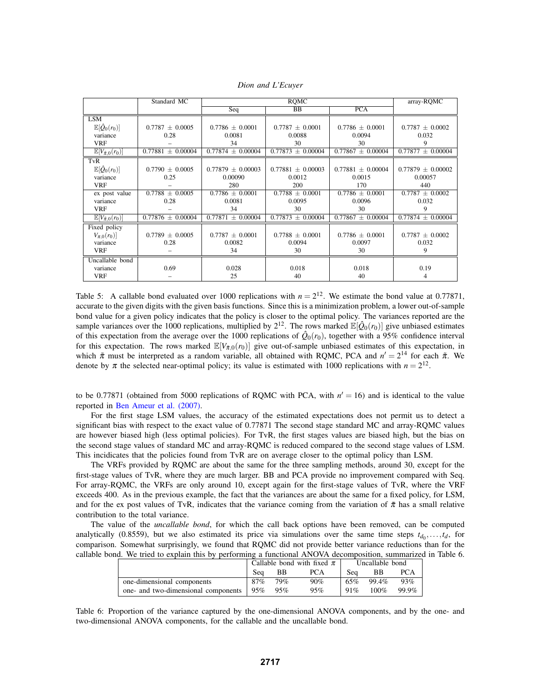|                                      | Standard MC           |                       | array-RQMC            |                       |                       |
|--------------------------------------|-----------------------|-----------------------|-----------------------|-----------------------|-----------------------|
|                                      |                       | Seq                   | BB                    | <b>PCA</b>            |                       |
| <b>LSM</b>                           |                       |                       |                       |                       |                       |
| $\mathbb{E}[\hat{Q}_0(r_0)]$         | $0.7787 \pm 0.0005$   | $0.7786 \pm 0.0001$   | $0.7787 \pm 0.0001$   | $0.7786 \pm 0.0001$   | $0.7787 \pm 0.0002$   |
| variance                             | 0.28                  | 0.0081                | 0.0088                | 0.0094                | 0.032                 |
| <b>VRF</b>                           |                       | 34                    | 30                    | 30                    | 9                     |
| $\mathbb{E}[V_{\tilde{\pi},0}(r_0)]$ | $0.77881 \pm 0.00004$ | $0.77874 \pm 0.00004$ | $0.77873 \pm 0.00004$ | $0.77867 \pm 0.00004$ | $0.77877 \pm 0.00004$ |
| TvR                                  |                       |                       |                       |                       |                       |
| $\mathbb{E}[\hat{Q}_0(r_0)]$         | $0.7790 \pm 0.0005$   | $0.77879 \pm 0.00003$ | $0.77881 + 0.00003$   | $0.77881 + 0.00004$   | $0.77879 \pm 0.00002$ |
| variance                             | 0.25                  | 0.00090               | 0.0012                | 0.0015                | 0.00057               |
| <b>VRF</b>                           |                       | 280                   | 200                   | 170                   | 440                   |
| ex post value                        | $0.7788 \pm 0.0005$   | $0.7786 \pm 0.0001$   | $0.7788 \pm 0.0001$   | $0.7786 \pm 0.0001$   | $0.7787 \pm 0.0002$   |
| variance                             | 0.28                  | 0.0081                | 0.0095                | 0.0096                | 0.032                 |
| <b>VRF</b>                           |                       | 34                    | 30                    | 30                    | 9                     |
| $\mathbb{E}[V_{\tilde{\pi},0}(r_0)]$ | $0.77876 \pm 0.00004$ | $0.77871 \pm 0.00004$ | $0.77873 \pm 0.00004$ | $0.77867 \pm 0.00004$ | $0.77874 \pm 0.00004$ |
| Fixed policy                         |                       |                       |                       |                       |                       |
| $V_{\pi,0}(r_0)$                     | $0.7789 \pm 0.0005$   | $0.7787 \pm 0.0001$   | $0.7788 \pm 0.0001$   | $0.7786 \pm 0.0001$   | $0.7787 \pm 0.0002$   |
| variance                             | 0.28                  | 0.0082                | 0.0094                | 0.0097                | 0.032                 |
| <b>VRF</b>                           |                       | 34                    | 30                    | 30                    | 9                     |
| Uncallable bond                      |                       |                       |                       |                       |                       |
| variance                             | 0.69                  | 0.028                 | 0.018                 | 0.018                 | 0.19                  |
| <b>VRF</b>                           |                       | 25                    | 40                    | 40                    | 4                     |

*Dion and L'Ecuyer*

Table 5: A callable bond evaluated over 1000 replications with  $n = 2^{12}$ . We estimate the bond value at 0.77871, accurate to the given digits with the given basis functions. Since this is a minimization problem, a lower out-of-sample bond value for a given policy indicates that the policy is closer to the optimal policy. The variances reported are the sample variances over the 1000 replications, multiplied by  $2^{12}$ . The rows marked  $\mathbb{E}[\hat{Q}_0(r_0)]$  give unbiased estimates of this expectation from the average over the 1000 replications of  $\hat{Q}_0(r_0)$ , together with a 95% confidence interval for this expectation. The rows marked  $\mathbb{E}[V_{\tilde{\pi},0}(r_0)]$  give out-of-sample unbiased estimates of this expectation, in which  $\tilde{\pi}$  must be interpreted as a random variable, all obtained with RQMC, PCA and  $n' = 2^{14}$  for each  $\tilde{\pi}$ . We denote by  $\pi$  the selected near-optimal policy; its value is estimated with 1000 replications with  $n = 2^{12}$ .

to be 0.77871 (obtained from 5000 replications of RQMC with PCA, with  $n' = 16$ ) and is identical to the value reported in Ben Ameur et al. (2007).

For the first stage LSM values, the accuracy of the estimated expectations does not permit us to detect a significant bias with respect to the exact value of 0.77871 The second stage standard MC and array-RQMC values are however biased high (less optimal policies). For TvR, the first stages values are biased high, but the bias on the second stage values of standard MC and array-RQMC is reduced compared to the second stage values of LSM. This incidicates that the policies found from TvR are on average closer to the optimal policy than LSM.

The VRFs provided by RQMC are about the same for the three sampling methods, around 30, except for the first-stage values of TvR, where they are much larger. BB and PCA provide no improvement compared with Seq. For array-RQMC, the VRFs are only around 10, except again for the first-stage values of TvR, where the VRF exceeds 400. As in the previous example, the fact that the variances are about the same for a fixed policy, for LSM, and for the ex post values of TvR, indicates that the variance coming from the variation of  $\tilde{\pi}$  has a small relative contribution to the total variance.

The value of the *uncallable bond*, for which the call back options have been removed, can be computed analytically (0.8559), but we also estimated its price via simulations over the same time steps  $t_{d_0}, \ldots, t_d$ , for comparison. Somewhat surprisingly, we found that RQMC did not provide better variance reductions than for the callable bond. We tried to explain this by performing a functional ANOVA decomposition, summarized in Table 6.

|                                     | Callable bond with fixed $\pi$ |     |     | Uncallable bond |         |            |
|-------------------------------------|--------------------------------|-----|-----|-----------------|---------|------------|
|                                     | Sea                            | BB  | PCA | Sea             | BВ      | <b>PCA</b> |
| one-dimensional components          | 87%                            | 79% | 90% | 65%             | 99.4%   | 93%        |
| one- and two-dimensional components | 195%                           | 95% | 95% | 91%             | $100\%$ | 99.9%      |

Table 6: Proportion of the variance captured by the one-dimensional ANOVA components, and by the one- and two-dimensional ANOVA components, for the callable and the uncallable bond.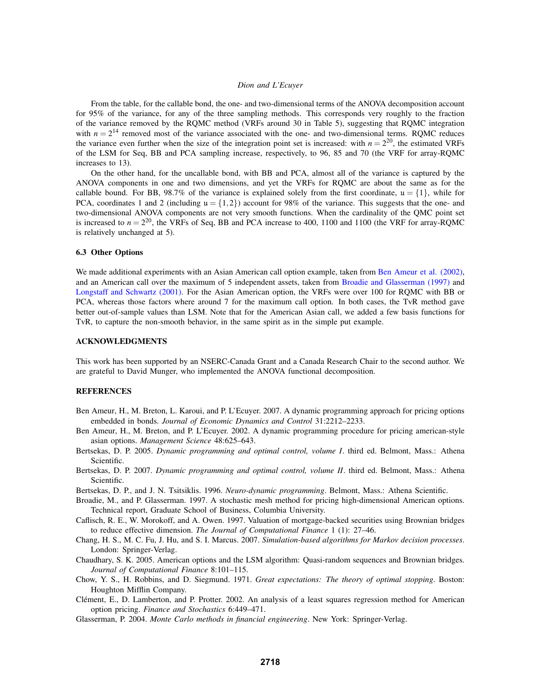From the table, for the callable bond, the one- and two-dimensional terms of the ANOVA decomposition account for 95% of the variance, for any of the three sampling methods. This corresponds very roughly to the fraction of the variance removed by the RQMC method (VRFs around 30 in Table 5), suggesting that RQMC integration with  $n = 2<sup>14</sup>$  removed most of the variance associated with the one- and two-dimensional terms. RQMC reduces the variance even further when the size of the integration point set is increased: with  $n = 2^{20}$ , the estimated VRFs of the LSM for Seq, BB and PCA sampling increase, respectively, to 96, 85 and 70 (the VRF for array-RQMC increases to 13).

On the other hand, for the uncallable bond, with BB and PCA, almost all of the variance is captured by the ANOVA components in one and two dimensions, and yet the VRFs for RQMC are about the same as for the callable bound. For BB, 98.7% of the variance is explained solely from the first coordinate,  $u = \{1\}$ , while for PCA, coordinates 1 and 2 (including  $u = \{1, 2\}$ ) account for 98% of the variance. This suggests that the one- and two-dimensional ANOVA components are not very smooth functions. When the cardinality of the QMC point set is increased to  $n = 2^{20}$ , the VRFs of Seq, BB and PCA increase to 400, 1100 and 1100 (the VRF for array-ROMC is relatively unchanged at 5).

# 6.3 Other Options

We made additional experiments with an Asian American call option example, taken from Ben Ameur et al. (2002), and an American call over the maximum of 5 independent assets, taken from Broadie and Glasserman (1997) and Longstaff and Schwartz (2001). For the Asian American option, the VRFs were over 100 for RQMC with BB or PCA, whereas those factors where around 7 for the maximum call option. In both cases, the TvR method gave better out-of-sample values than LSM. Note that for the American Asian call, we added a few basis functions for TvR, to capture the non-smooth behavior, in the same spirit as in the simple put example.

# ACKNOWLEDGMENTS

This work has been supported by an NSERC-Canada Grant and a Canada Research Chair to the second author. We are grateful to David Munger, who implemented the ANOVA functional decomposition.

#### REFERENCES

- Ben Ameur, H., M. Breton, L. Karoui, and P. L'Ecuyer. 2007. A dynamic programming approach for pricing options embedded in bonds. *Journal of Economic Dynamics and Control* 31:2212–2233.
- Ben Ameur, H., M. Breton, and P. L'Ecuyer. 2002. A dynamic programming procedure for pricing american-style asian options. *Management Science* 48:625–643.
- Bertsekas, D. P. 2005. *Dynamic programming and optimal control, volume I*. third ed. Belmont, Mass.: Athena Scientific.
- Bertsekas, D. P. 2007. *Dynamic programming and optimal control, volume II*. third ed. Belmont, Mass.: Athena Scientific.
- Bertsekas, D. P., and J. N. Tsitsiklis. 1996. *Neuro-dynamic programming*. Belmont, Mass.: Athena Scientific.
- Broadie, M., and P. Glasserman. 1997. A stochastic mesh method for pricing high-dimensional American options. Technical report, Graduate School of Business, Columbia University.
- Caflisch, R. E., W. Morokoff, and A. Owen. 1997. Valuation of mortgage-backed securities using Brownian bridges to reduce effective dimension. *The Journal of Computational Finance* 1 (1): 27–46.
- Chang, H. S., M. C. Fu, J. Hu, and S. I. Marcus. 2007. *Simulation-based algorithms for Markov decision processes*. London: Springer-Verlag.
- Chaudhary, S. K. 2005. American options and the LSM algorithm: Quasi-random sequences and Brownian bridges. *Journal of Computational Finance* 8:101–115.
- Chow, Y. S., H. Robbins, and D. Siegmund. 1971. *Great expectations: The theory of optimal stopping*. Boston: Houghton Mifflin Company.
- Clément, E., D. Lamberton, and P. Protter. 2002. An analysis of a least squares regression method for American option pricing. *Finance and Stochastics* 6:449–471.
- Glasserman, P. 2004. *Monte Carlo methods in financial engineering*. New York: Springer-Verlag.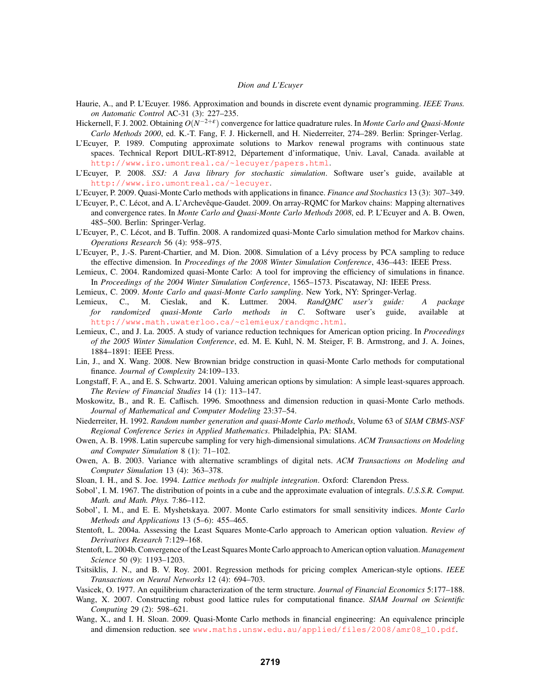- Haurie, A., and P. L'Ecuyer. 1986. Approximation and bounds in discrete event dynamic programming. *IEEE Trans. on Automatic Control* AC-31 (3): 227–235.
- Hickernell, F. J. 2002. Obtaining *O*(*N*−2+<sup>ε</sup> ) convergence for lattice quadrature rules. In *Monte Carlo and Quasi-Monte Carlo Methods 2000*, ed. K.-T. Fang, F. J. Hickernell, and H. Niederreiter, 274–289. Berlin: Springer-Verlag.
- L'Ecuyer, P. 1989. Computing approximate solutions to Markov renewal programs with continuous state spaces. Technical Report DIUL-RT-8912, Département d'informatique, Univ. Laval, Canada. available at http://www.iro.umontreal.ca/~lecuyer/papers.html.
- L'Ecuyer, P. 2008. *SSJ: A Java library for stochastic simulation*. Software user's guide, available at http://www.iro.umontreal.ca/~lecuyer.
- L'Ecuyer, P. 2009. Quasi-Monte Carlo methods with applications in finance. *Finance and Stochastics* 13 (3): 307–349.
- L'Ecuyer, P., C. Lécot, and A. L'Archevêque-Gaudet. 2009. On array-RQMC for Markov chains: Mapping alternatives and convergence rates. In *Monte Carlo and Quasi-Monte Carlo Methods 2008*, ed. P. L'Ecuyer and A. B. Owen, 485–500. Berlin: Springer-Verlag.
- L'Ecuyer, P., C. Lécot, and B. Tuffin. 2008. A randomized quasi-Monte Carlo simulation method for Markov chains. *Operations Research* 56 (4): 958–975.
- L'Ecuyer, P., J.-S. Parent-Chartier, and M. Dion. 2008. Simulation of a Lévy process by PCA sampling to reduce the effective dimension. In *Proceedings of the 2008 Winter Simulation Conference*, 436–443: IEEE Press.
- Lemieux, C. 2004. Randomized quasi-Monte Carlo: A tool for improving the efficiency of simulations in finance. In *Proceedings of the 2004 Winter Simulation Conference*, 1565–1573. Piscataway, NJ: IEEE Press.
- Lemieux, C. 2009. *Monte Carlo and quasi-Monte Carlo sampling*. New York, NY: Springer-Verlag.
- Lemieux, C., M. Cieslak, and K. Luttmer. 2004. *RandQMC user's guide: A package for randomized quasi-Monte Carlo methods in C*. Software user's guide, available http://www.math.uwaterloo.ca/~clemieux/randqmc.html.
- Lemieux, C., and J. La. 2005. A study of variance reduction techniques for American option pricing. In *Proceedings of the 2005 Winter Simulation Conference*, ed. M. E. Kuhl, N. M. Steiger, F. B. Armstrong, and J. A. Joines, 1884–1891: IEEE Press.
- Lin, J., and X. Wang. 2008. New Brownian bridge construction in quasi-Monte Carlo methods for computational finance. *Journal of Complexity* 24:109–133.
- Longstaff, F. A., and E. S. Schwartz. 2001. Valuing american options by simulation: A simple least-squares approach. *The Review of Financial Studies* 14 (1): 113–147.
- Moskowitz, B., and R. E. Caflisch. 1996. Smoothness and dimension reduction in quasi-Monte Carlo methods. *Journal of Mathematical and Computer Modeling* 23:37–54.
- Niederreiter, H. 1992. *Random number generation and quasi-Monte Carlo methods*, Volume 63 of *SIAM CBMS-NSF Regional Conference Series in Applied Mathematics*. Philadelphia, PA: SIAM.
- Owen, A. B. 1998. Latin supercube sampling for very high-dimensional simulations. *ACM Transactions on Modeling and Computer Simulation* 8 (1): 71–102.
- Owen, A. B. 2003. Variance with alternative scramblings of digital nets. *ACM Transactions on Modeling and Computer Simulation* 13 (4): 363–378.
- Sloan, I. H., and S. Joe. 1994. *Lattice methods for multiple integration*. Oxford: Clarendon Press.
- Sobol', I. M. 1967. The distribution of points in a cube and the approximate evaluation of integrals. *U.S.S.R. Comput. Math. and Math. Phys.* 7:86–112.
- Sobol', I. M., and E. E. Myshetskaya. 2007. Monte Carlo estimators for small sensitivity indices. *Monte Carlo Methods and Applications* 13 (5–6): 455–465.
- Stentoft, L. 2004a. Assessing the Least Squares Monte-Carlo approach to American option valuation. *Review of Derivatives Research* 7:129–168.
- Stentoft, L. 2004b. Convergence of the Least Squares Monte Carlo approach to American option valuation. *Management Science* 50 (9): 1193–1203.
- Tsitsiklis, J. N., and B. V. Roy. 2001. Regression methods for pricing complex American-style options. *IEEE Transactions on Neural Networks* 12 (4): 694–703.
- Vasicek, O. 1977. An equilibrium characterization of the term structure. *Journal of Financial Economics* 5:177–188.
- Wang, X. 2007. Constructing robust good lattice rules for computational finance. *SIAM Journal on Scientific Computing* 29 (2): 598–621.
- Wang, X., and I. H. Sloan. 2009. Quasi-Monte Carlo methods in financial engineering: An equivalence principle and dimension reduction. see www.maths.unsw.edu.au/applied/files/2008/amr08\_10.pdf.